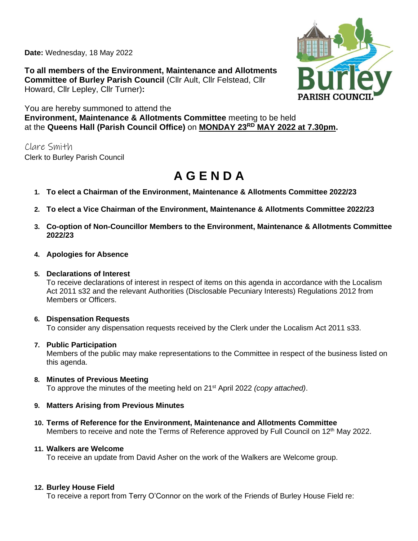**Date:** Wednesday, 18 May 2022

**To all members of the Environment, Maintenance and Allotments Committee of Burley Parish Council** (Cllr Ault, Cllr Felstead, Cllr Howard, Cllr Lepley, Cllr Turner)**:**



You are hereby summoned to attend the **Environment, Maintenance & Allotments Committee** meeting to be held at the **Queens Hall (Parish Council Office)** on **MONDAY 23RD MAY 2022 at 7.30pm.** 

Clare Smith Clerk to Burley Parish Council

# **A G E N D A**

- **1. To elect a Chairman of the Environment, Maintenance & Allotments Committee 2022/23**
- **2. To elect a Vice Chairman of the Environment, Maintenance & Allotments Committee 2022/23**
- **3. Co-option of Non-Councillor Members to the Environment, Maintenance & Allotments Committee 2022/23**
- **4. Apologies for Absence**

## **5. Declarations of Interest**

To receive declarations of interest in respect of items on this agenda in accordance with the Localism Act 2011 s32 and the relevant Authorities (Disclosable Pecuniary Interests) Regulations 2012 from Members or Officers.

# **6. Dispensation Requests**

To consider any dispensation requests received by the Clerk under the Localism Act 2011 s33.

# **7. Public Participation**

Members of the public may make representations to the Committee in respect of the business listed on this agenda.

**8. Minutes of Previous Meeting** To approve the minutes of the meeting held on 21st April 2022 *(copy attached)*.

# **9. Matters Arising from Previous Minutes**

**10. Terms of Reference for the Environment, Maintenance and Allotments Committee** Members to receive and note the Terms of Reference approved by Full Council on 12<sup>th</sup> May 2022.

## **11. Walkers are Welcome**

To receive an update from David Asher on the work of the Walkers are Welcome group.

#### **12. Burley House Field**

To receive a report from Terry O'Connor on the work of the Friends of Burley House Field re: